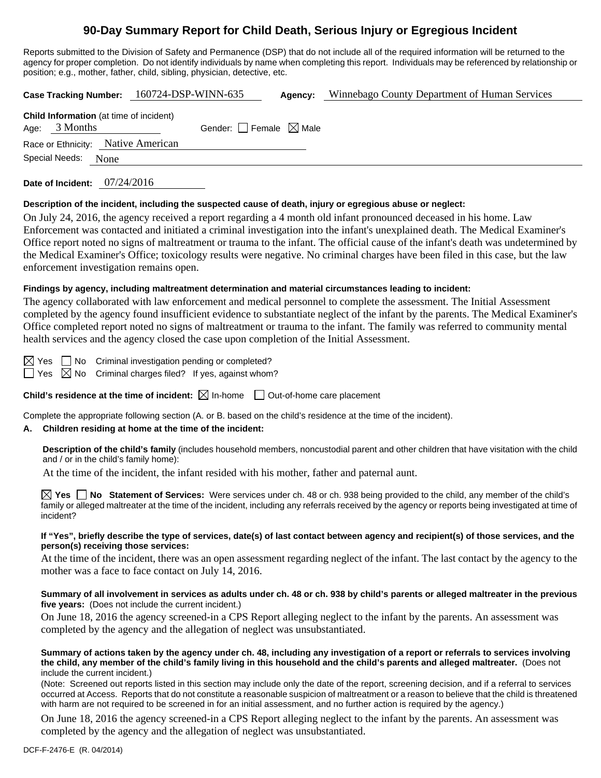# **90-Day Summary Report for Child Death, Serious Injury or Egregious Incident**

Reports submitted to the Division of Safety and Permanence (DSP) that do not include all of the required information will be returned to the agency for proper completion. Do not identify individuals by name when completing this report. Individuals may be referenced by relationship or position; e.g., mother, father, child, sibling, physician, detective, etc.

**Case Tracking Number:** 160724-DSP-WINN-635 **Agency:** Winnebago County Department of Human Services

|                     | <b>Child Information</b> (at time of incident) |                                 |  |
|---------------------|------------------------------------------------|---------------------------------|--|
| Age: $3$ Months     |                                                | Gender: Female $\boxtimes$ Male |  |
|                     | Race or Ethnicity: Native American             |                                 |  |
| Special Needs: None |                                                |                                 |  |
|                     |                                                |                                 |  |

**Date of Incident:** 07/24/2016

# **Description of the incident, including the suspected cause of death, injury or egregious abuse or neglect:**

On July 24, 2016, the agency received a report regarding a 4 month old infant pronounced deceased in his home. Law Enforcement was contacted and initiated a criminal investigation into the infant's unexplained death. The Medical Examiner's Office report noted no signs of maltreatment or trauma to the infant. The official cause of the infant's death was undetermined by the Medical Examiner's Office; toxicology results were negative. No criminal charges have been filed in this case, but the law enforcement investigation remains open.

# **Findings by agency, including maltreatment determination and material circumstances leading to incident:**

The agency collaborated with law enforcement and medical personnel to complete the assessment. The Initial Assessment completed by the agency found insufficient evidence to substantiate neglect of the infant by the parents. The Medical Examiner's Office completed report noted no signs of maltreatment or trauma to the infant. The family was referred to community mental health services and the agency closed the case upon completion of the Initial Assessment.

 $\boxtimes$  Yes  $\Box$  No Criminal investigation pending or completed?

 $\Box$  Yes  $\boxtimes$  No Criminal charges filed? If yes, against whom?

**Child's residence at the time of incident:**  $\boxtimes$  In-home  $\Box$  Out-of-home care placement

Complete the appropriate following section (A. or B. based on the child's residence at the time of the incident).

# **A. Children residing at home at the time of the incident:**

**Description of the child's family** (includes household members, noncustodial parent and other children that have visitation with the child and / or in the child's family home):

At the time of the incident, the infant resided with his mother, father and paternal aunt.

**Yes No Statement of Services:** Were services under ch. 48 or ch. 938 being provided to the child, any member of the child's family or alleged maltreater at the time of the incident, including any referrals received by the agency or reports being investigated at time of incident?

## **If "Yes", briefly describe the type of services, date(s) of last contact between agency and recipient(s) of those services, and the person(s) receiving those services:**

At the time of the incident, there was an open assessment regarding neglect of the infant. The last contact by the agency to the mother was a face to face contact on July 14, 2016.

# **Summary of all involvement in services as adults under ch. 48 or ch. 938 by child's parents or alleged maltreater in the previous five years:** (Does not include the current incident.)

On June 18, 2016 the agency screened-in a CPS Report alleging neglect to the infant by the parents. An assessment was completed by the agency and the allegation of neglect was unsubstantiated.

#### **Summary of actions taken by the agency under ch. 48, including any investigation of a report or referrals to services involving the child, any member of the child's family living in this household and the child's parents and alleged maltreater.** (Does not include the current incident.)

(Note: Screened out reports listed in this section may include only the date of the report, screening decision, and if a referral to services occurred at Access. Reports that do not constitute a reasonable suspicion of maltreatment or a reason to believe that the child is threatened with harm are not required to be screened in for an initial assessment, and no further action is required by the agency.)

On June 18, 2016 the agency screened-in a CPS Report alleging neglect to the infant by the parents. An assessment was completed by the agency and the allegation of neglect was unsubstantiated.